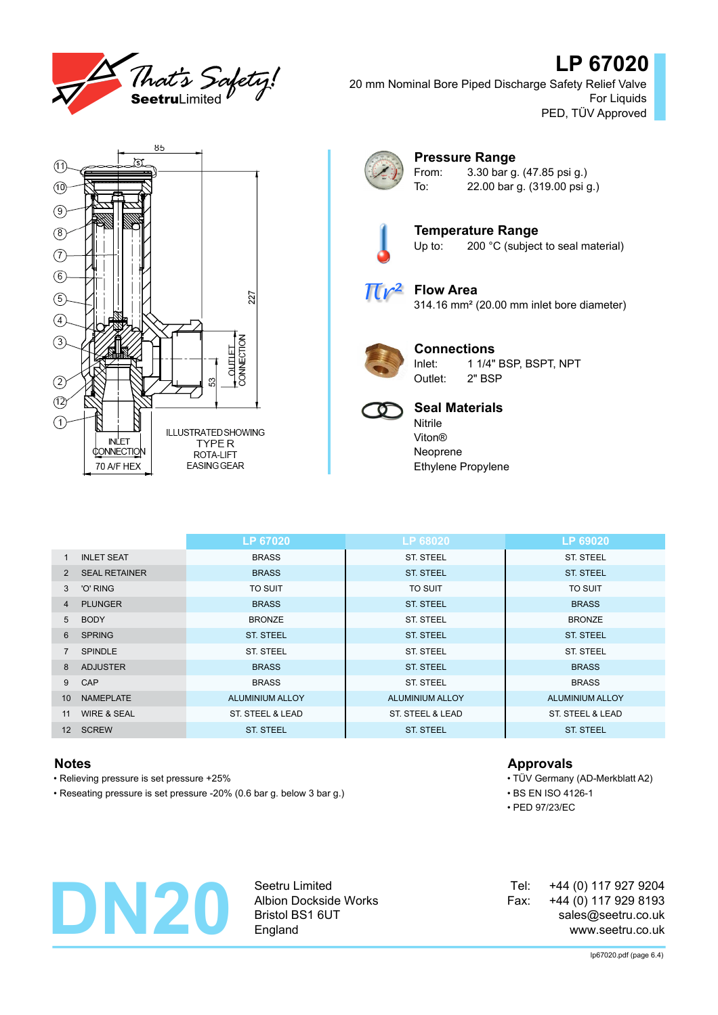

# **LP 67020**

20 mm Nominal Bore Piped Discharge Safety Relief Valve For Liquids PED, TÜV Approved





## **Pressure Range**

From: 3.30 bar g. (47.85 psi g.) To: 22.00 bar g. (319.00 psi g.)



**Temperature Range** Up to: 200 °C (subject to seal material)



### **Flow Area** 314.16 mm² (20.00 mm inlet bore diameter)



**Connections** Inlet: 1 1/4" BSP, BSPT, NPT

Outlet: 2" BSP



## **Seal Materials**

Nitrile Viton® Neoprene Ethylene Propylene

|                   |                        | LP 67020               | LP 68020               | LP 69020               |
|-------------------|------------------------|------------------------|------------------------|------------------------|
| 1                 | <b>INLET SEAT</b>      | <b>BRASS</b>           | <b>ST. STEEL</b>       | <b>ST. STEEL</b>       |
| 2                 | <b>SEAL RETAINER</b>   | <b>BRASS</b>           | <b>ST. STEEL</b>       | <b>ST. STEEL</b>       |
| 3                 | 'O' RING               | <b>TO SUIT</b>         | <b>TO SUIT</b>         | <b>TO SUIT</b>         |
| 4                 | <b>PLUNGER</b>         | <b>BRASS</b>           | <b>ST. STEEL</b>       | <b>BRASS</b>           |
| 5                 | <b>BODY</b>            | <b>BRONZE</b>          | <b>ST. STEEL</b>       | <b>BRONZE</b>          |
| 6                 | <b>SPRING</b>          | <b>ST. STEEL</b>       | <b>ST. STEEL</b>       | <b>ST. STEEL</b>       |
|                   | <b>SPINDLE</b>         | ST. STEEL              | <b>ST. STEEL</b>       | <b>ST. STEEL</b>       |
| 8                 | <b>ADJUSTER</b>        | <b>BRASS</b>           | <b>ST. STEEL</b>       | <b>BRASS</b>           |
| 9                 | CAP                    | <b>BRASS</b>           | <b>ST. STEEL</b>       | <b>BRASS</b>           |
| 10                | <b>NAMEPLATE</b>       | <b>ALUMINIUM ALLOY</b> | <b>ALUMINIUM ALLOY</b> | <b>ALUMINIUM ALLOY</b> |
| 11                | <b>WIRE &amp; SEAL</b> | ST. STEEL & LEAD       | ST. STEEL & LEAD       | ST. STEEL & LEAD       |
| $12 \overline{ }$ | <b>SCREW</b>           | <b>ST. STEEL</b>       | <b>ST. STEEL</b>       | <b>ST. STEEL</b>       |

- Relieving pressure is set pressure +25% TÜV Germany (AD-Merkblatt A2)
- Reseating pressure is set pressure -20% (0.6 bar g. below 3 bar g.) BS EN ISO 4126-1

### **Notes Approvals**

• PED 97/23/EC



Seetru Limited Albion Dockside Works Bristol BS1 6UT England

+44 (0) 117 927 9204 +44 (0) 117 929 8193 sales@seetru.co.uk www.seetru.co.uk Tel: Fax: